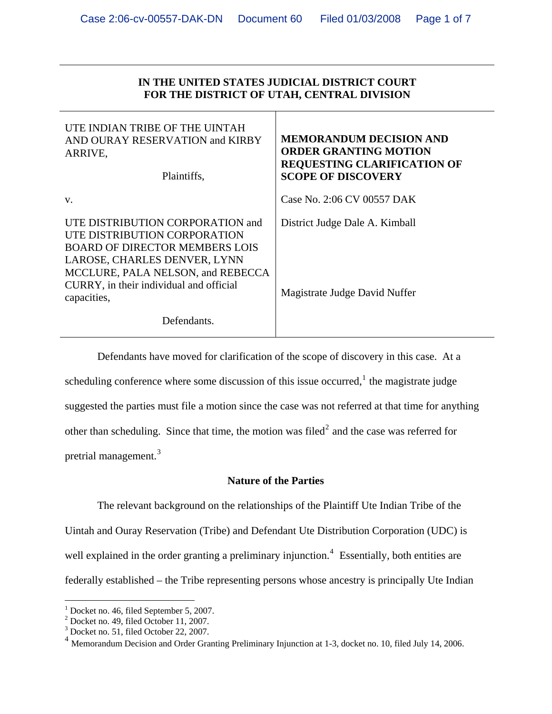## **IN THE UNITED STATES JUDICIAL DISTRICT COURT FOR THE DISTRICT OF UTAH, CENTRAL DIVISION**

| UTE INDIAN TRIBE OF THE UINTAH<br>AND OURAY RESERVATION and KIRBY<br>ARRIVE,<br>Plaintiffs,                                                                                                                                              | <b>MEMORANDUM DECISION AND</b><br><b>ORDER GRANTING MOTION</b><br><b>REQUESTING CLARIFICATION OF</b><br><b>SCOPE OF DISCOVERY</b> |
|------------------------------------------------------------------------------------------------------------------------------------------------------------------------------------------------------------------------------------------|-----------------------------------------------------------------------------------------------------------------------------------|
| V.                                                                                                                                                                                                                                       | Case No. 2:06 CV 00557 DAK                                                                                                        |
| UTE DISTRIBUTION CORPORATION and<br>UTE DISTRIBUTION CORPORATION<br><b>BOARD OF DIRECTOR MEMBERS LOIS</b><br>LAROSE, CHARLES DENVER, LYNN<br>MCCLURE, PALA NELSON, and REBECCA<br>CURRY, in their individual and official<br>capacities, | District Judge Dale A. Kimball<br>Magistrate Judge David Nuffer                                                                   |
| Defendants.                                                                                                                                                                                                                              |                                                                                                                                   |

 Defendants have moved for clarification of the scope of discovery in this case. At a scheduling conference where some discussion of this issue occurred, $<sup>1</sup>$  $<sup>1</sup>$  $<sup>1</sup>$  the magistrate judge</sup> suggested the parties must file a motion since the case was not referred at that time for anything other than scheduling. Since that time, the motion was filed<sup>[2](#page-0-1)</sup> and the case was referred for pretrial management.<sup>[3](#page-0-2)</sup>

## **Nature of the Parties**

 The relevant background on the relationships of the Plaintiff Ute Indian Tribe of the Uintah and Ouray Reservation (Tribe) and Defendant Ute Distribution Corporation (UDC) is well explained in the order granting a preliminary injunction.<sup>[4](#page-0-3)</sup> Essentially, both entities are federally established – the Tribe representing persons whose ancestry is principally Ute Indian

<span id="page-0-0"></span><sup>&</sup>lt;sup>1</sup> Docket no. 46, filed September 5, 2007.

<span id="page-0-1"></span><sup>2</sup> Docket no. 49, filed October 11, 2007.

<sup>3</sup> Docket no. 51, filed October 22, 2007.

<span id="page-0-3"></span><span id="page-0-2"></span><sup>&</sup>lt;sup>4</sup> Memorandum Decision and Order Granting Preliminary Injunction at 1-3, docket no. 10, filed July 14, 2006.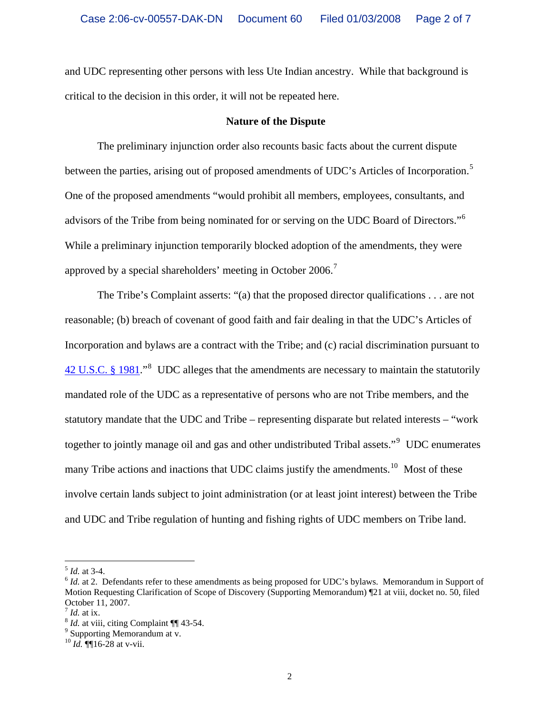and UDC representing other persons with less Ute Indian ancestry. While that background is critical to the decision in this order, it will not be repeated here.

#### **Nature of the Dispute**

The preliminary injunction order also recounts basic facts about the current dispute between the parties, arising out of proposed amendments of UDC's Articles of Incorporation.<sup>[5](#page-1-0)</sup> One of the proposed amendments "would prohibit all members, employees, consultants, and advisors of the Tribe from being nominated for or serving on the UDC Board of Directors."<sup>[6](#page-1-1)</sup> While a preliminary injunction temporarily blocked adoption of the amendments, they were approved by a special shareholders' meeting in October 2006.[7](#page-1-2)

 The Tribe's Complaint asserts: "(a) that the proposed director qualifications . . . are not reasonable; (b) breach of covenant of good faith and fair dealing in that the UDC's Articles of Incorporation and bylaws are a contract with the Tribe; and (c) racial discrimination pursuant to  $42$  U.S.C. § 19[8](#page-1-3)1."<sup>8</sup> UDC alleges that the amendments are necessary to maintain the statutorily mandated role of the UDC as a representative of persons who are not Tribe members, and the statutory mandate that the UDC and Tribe – representing disparate but related interests – "work together to jointly manage oil and gas and other undistributed Tribal assets."<sup>[9](#page-1-4)</sup> UDC enumerates many Tribe actions and inactions that UDC claims justify the amendments.<sup>[10](#page-1-5)</sup> Most of these involve certain lands subject to joint administration (or at least joint interest) between the Tribe and UDC and Tribe regulation of hunting and fishing rights of UDC members on Tribe land.

<span id="page-1-1"></span><span id="page-1-0"></span> $5$  *Id.* at 3-4.<br> $6$  *Id.* at 2. Defendants refer to these amendments as being proposed for UDC's bylaws. Memorandum in Support of Motion Requesting Clarification of Scope of Discovery (Supporting Memorandum) ¶21 at viii, docket no. 50, filed October 11, 2007.<br> $\frac{7}{1}$  *Id.* at ix.

<span id="page-1-2"></span>

<span id="page-1-3"></span><sup>&</sup>lt;sup>8</sup> *Id.* at viii, citing Complaint ¶¶ 43-54.

<span id="page-1-4"></span> $9$  Supporting Memorandum at v.

<span id="page-1-5"></span><sup>10</sup> *Id.* ¶¶16-28 at v-vii.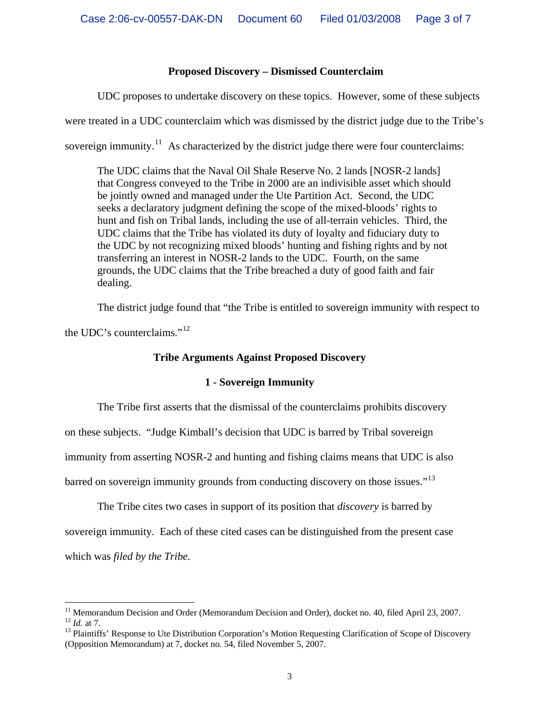# **Proposed Discovery – Dismissed Counterclaim**

UDC proposes to undertake discovery on these topics. However, some of these subjects

were treated in a UDC counterclaim which was dismissed by the district judge due to the Tribe's

sovereign immunity.<sup>[11](#page-2-0)</sup> As characterized by the district judge there were four counterclaims:

The UDC claims that the Naval Oil Shale Reserve No. 2 lands [NOSR-2 lands] that Congress conveyed to the Tribe in 2000 are an indivisible asset which should be jointly owned and managed under the Ute Partition Act. Second, the UDC seeks a declaratory judgment defining the scope of the mixed-bloods' rights to hunt and fish on Tribal lands, including the use of all-terrain vehicles. Third, the UDC claims that the Tribe has violated its duty of loyalty and fiduciary duty to the UDC by not recognizing mixed bloods' hunting and fishing rights and by not transferring an interest in NOSR-2 lands to the UDC. Fourth, on the same grounds, the UDC claims that the Tribe breached a duty of good faith and fair dealing.

The district judge found that "the Tribe is entitled to sovereign immunity with respect to

the UDC's counterclaims."<sup>[12](#page-2-1)</sup>

# **Tribe Arguments Against Proposed Discovery**

# **1 - Sovereign Immunity**

The Tribe first asserts that the dismissal of the counterclaims prohibits discovery

on these subjects. "Judge Kimball's decision that UDC is barred by Tribal sovereign

immunity from asserting NOSR-2 and hunting and fishing claims means that UDC is also

barred on sovereign immunity grounds from conducting discovery on those issues."<sup>[13](#page-2-2)</sup>

The Tribe cites two cases in support of its position that *discovery* is barred by sovereign immunity. Each of these cited cases can be distinguished from the present case which was *filed by the Tribe.* 

<span id="page-2-0"></span> $\overline{a}$ <sup>11</sup> Memorandum Decision and Order (Memorandum Decision and Order), docket no. 40, filed April 23, 2007. <sup>12</sup> *Id.* at 7.<br><sup>13</sup> Plaintiffs' Response to Ute Distribution Corporation's Motion Requesting Clarification of Scope of Discovery

<span id="page-2-2"></span><span id="page-2-1"></span><sup>(</sup>Opposition Memorandum) at 7, docket no. 54, filed November 5, 2007.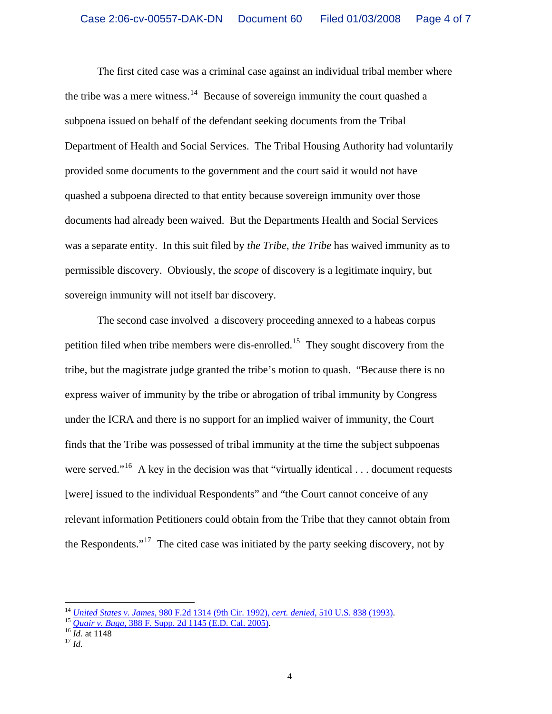The first cited case was a criminal case against an individual tribal member where the tribe was a mere witness.<sup>[14](#page-3-0)</sup> Because of sovereign immunity the court quashed a subpoena issued on behalf of the defendant seeking documents from the Tribal Department of Health and Social Services. The Tribal Housing Authority had voluntarily provided some documents to the government and the court said it would not have quashed a subpoena directed to that entity because sovereign immunity over those documents had already been waived. But the Departments Health and Social Services was a separate entity. In this suit filed by *the Tribe*, *the Tribe* has waived immunity as to permissible discovery. Obviously, the *scope* of discovery is a legitimate inquiry, but sovereign immunity will not itself bar discovery.

The second case involved a discovery proceeding annexed to a habeas corpus petition filed when tribe members were dis-enrolled.<sup>[15](#page-3-1)</sup> They sought discovery from the tribe, but the magistrate judge granted the tribe's motion to quash. "Because there is no express waiver of immunity by the tribe or abrogation of tribal immunity by Congress under the ICRA and there is no support for an implied waiver of immunity, the Court finds that the Tribe was possessed of tribal immunity at the time the subject subpoenas were served."<sup>[16](#page-3-2)</sup> A key in the decision was that "virtually identical . . . document requests [were] issued to the individual Respondents" and "the Court cannot conceive of any relevant information Petitioners could obtain from the Tribe that they cannot obtain from the Respondents."<sup>[17](#page-3-3)</sup> The cited case was initiated by the party seeking discovery, not by

<span id="page-3-0"></span><sup>&</sup>lt;sup>14</sup> *United States v. James*, 980 F.2d 1314 (9th Cir. 1992), *cert. denied*[, 510 U.S. 838 \(1993\).](http://www.westlaw.com/find/default.wl?rs=CLWD3.0&vr=2.0&cite=980+F.2d+1314)<br><sup>15</sup> *Quair v. Buga*[, 388 F. Supp. 2d 1145 \(E.D. Cal. 2005\).](http://www.westlaw.com/find/default.wl?rs=CLWD3.0&vr=2.0&cite=388+F.Supp.2d+1145)<br><sup>16</sup> *Id.* at 1148 <sup>17</sup> *Id.* 

<span id="page-3-1"></span>

<span id="page-3-2"></span>

<span id="page-3-3"></span>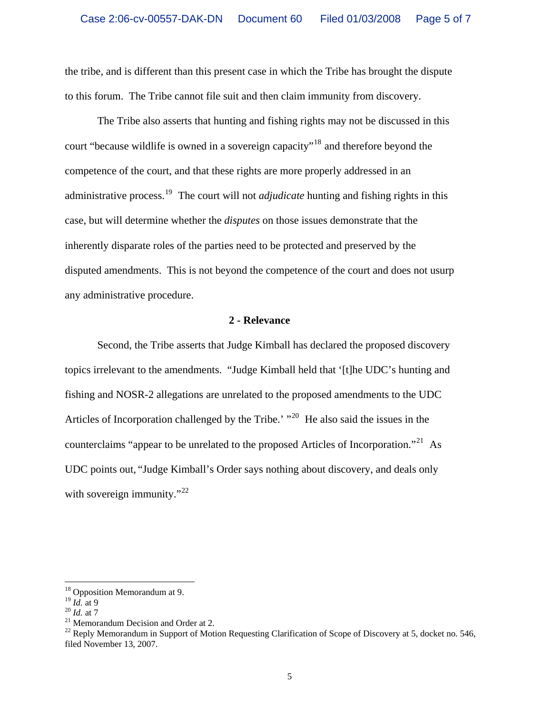the tribe, and is different than this present case in which the Tribe has brought the dispute to this forum. The Tribe cannot file suit and then claim immunity from discovery.

 The Tribe also asserts that hunting and fishing rights may not be discussed in this court "because wildlife is owned in a sovereign capacity"[18](#page-4-0) and therefore beyond the competence of the court, and that these rights are more properly addressed in an administrative process.[19](#page-4-1) The court will not *adjudicate* hunting and fishing rights in this case, but will determine whether the *disputes* on those issues demonstrate that the inherently disparate roles of the parties need to be protected and preserved by the disputed amendments. This is not beyond the competence of the court and does not usurp any administrative procedure.

#### **2 - Relevance**

 Second, the Tribe asserts that Judge Kimball has declared the proposed discovery topics irrelevant to the amendments. "Judge Kimball held that '[t]he UDC's hunting and fishing and NOSR-2 allegations are unrelated to the proposed amendments to the UDC Articles of Incorporation challenged by the Tribe.'  $"^{20}$  $"^{20}$  $"^{20}$  He also said the issues in the counterclaims "appear to be unrelated to the proposed Articles of Incorporation."<sup>[21](#page-4-3)</sup> As UDC points out, "Judge Kimball's Order says nothing about discovery, and deals only with sovereign immunity." $^{22}$  $^{22}$  $^{22}$ 

<span id="page-4-0"></span><sup>&</sup>lt;sup>18</sup> Opposition Memorandum at 9.

<span id="page-4-2"></span>

<span id="page-4-1"></span><sup>&</sup>lt;sup>19</sup> *Id.* at 9<br><sup>20</sup> *Id.* at 7<br><sup>21</sup> Memorandum Decision and Order at 2.

<span id="page-4-4"></span><span id="page-4-3"></span> $^{22}$  Reply Memorandum in Support of Motion Requesting Clarification of Scope of Discovery at 5, docket no. 546, filed November 13, 2007.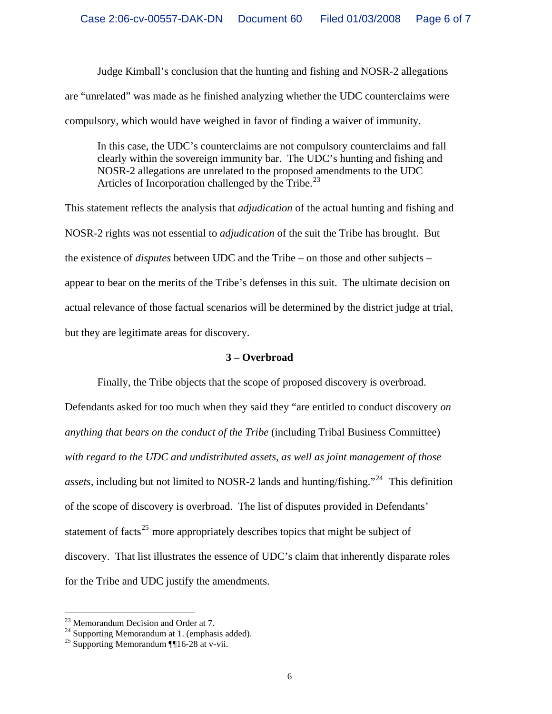Judge Kimball's conclusion that the hunting and fishing and NOSR-2 allegations are "unrelated" was made as he finished analyzing whether the UDC counterclaims were compulsory, which would have weighed in favor of finding a waiver of immunity.

In this case, the UDC's counterclaims are not compulsory counterclaims and fall clearly within the sovereign immunity bar. The UDC's hunting and fishing and NOSR-2 allegations are unrelated to the proposed amendments to the UDC Articles of Incorporation challenged by the Tribe.<sup>[23](#page-5-0)</sup>

This statement reflects the analysis that *adjudication* of the actual hunting and fishing and NOSR-2 rights was not essential to *adjudication* of the suit the Tribe has brought. But the existence of *disputes* between UDC and the Tribe – on those and other subjects – appear to bear on the merits of the Tribe's defenses in this suit. The ultimate decision on actual relevance of those factual scenarios will be determined by the district judge at trial, but they are legitimate areas for discovery.

## **3 – Overbroad**

 Finally, the Tribe objects that the scope of proposed discovery is overbroad. Defendants asked for too much when they said they "are entitled to conduct discovery *on anything that bears on the conduct of the Tribe* (including Tribal Business Committee) *with regard to the UDC and undistributed assets, as well as joint management of those assets*, including but not limited to NOSR-2 lands and hunting/fishing."<sup>[24](#page-5-1)</sup> This definition of the scope of discovery is overbroad. The list of disputes provided in Defendants' statement of facts<sup>[25](#page-5-2)</sup> more appropriately describes topics that might be subject of discovery. That list illustrates the essence of UDC's claim that inherently disparate roles for the Tribe and UDC justify the amendments.

<span id="page-5-0"></span><sup>23</sup> Memorandum Decision and Order at 7.

<span id="page-5-1"></span> $24$  Supporting Memorandum at 1. (emphasis added).

<span id="page-5-2"></span><sup>&</sup>lt;sup>25</sup> Supporting Memorandum  $\P$ 16-28 at v-vii.